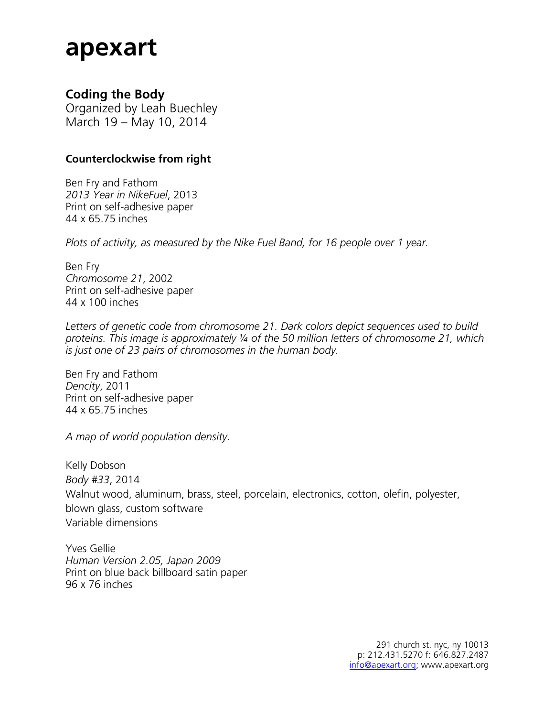# **apexart**

#### **Coding the Body**

Organized by Leah Buechley March 19 – May 10, 2014

#### **Counterclockwise from right**

Ben Fry and Fathom *2013 Year in NikeFuel*, 2013 Print on self-adhesive paper 44 x 65.75 inches

*Plots of activity, as measured by the Nike Fuel Band, for 16 people over 1 year.*

Ben Fry *Chromosome 21*, 2002 Print on self-adhesive paper 44 x 100 inches

*Letters of genetic code from chromosome 21. Dark colors depict sequences used to build proteins. This image is approximately ¼ of the 50 million letters of chromosome 21, which is just one of 23 pairs of chromosomes in the human body.* 

Ben Fry and Fathom *Dencity*, 2011 Print on self-adhesive paper 44 x 65.75 inches

*A map of world population density.*

Kelly Dobson *Body #33*, 2014 Walnut wood, aluminum, brass, steel, porcelain, electronics, cotton, olefin, polyester, blown glass, custom software Variable dimensions

Yves Gellie *Human Version 2.05, Japan 2009* Print on blue back billboard satin paper 96 x 76 inches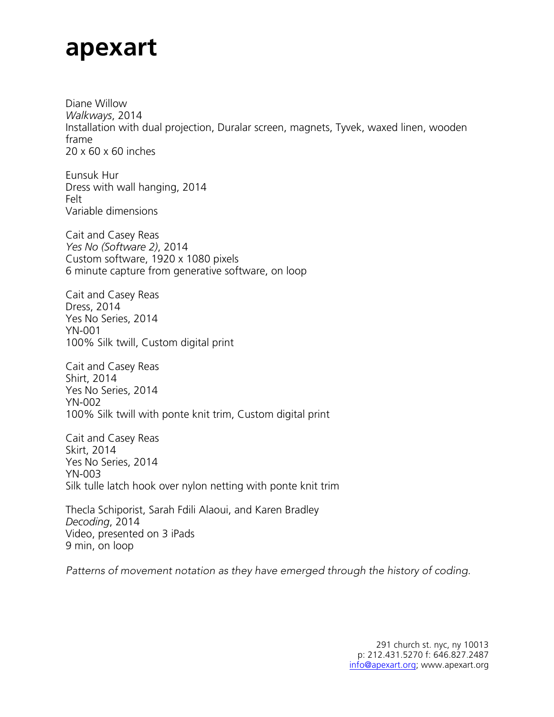# **apexart**

Diane Willow *Walkways*, 2014 Installation with dual projection, Duralar screen, magnets, Tyvek, waxed linen, wooden frame 20 x 60 x 60 inches

Eunsuk Hur Dress with wall hanging, 2014 Felt Variable dimensions

Cait and Casey Reas *Yes No (Software 2)*, 2014 Custom software, 1920 x 1080 pixels 6 minute capture from generative software, on loop

Cait and Casey Reas Dress, 2014 Yes No Series, 2014 YN-001 100% Silk twill, Custom digital print

Cait and Casey Reas Shirt, 2014 Yes No Series, 2014 YN-002 100% Silk twill with ponte knit trim, Custom digital print

Cait and Casey Reas Skirt, 2014 Yes No Series, 2014 YN-003 Silk tulle latch hook over nylon netting with ponte knit trim

Thecla Schiporist, Sarah Fdili Alaoui, and Karen Bradley *Decoding*, 2014 Video, presented on 3 iPads 9 min, on loop

*Patterns of movement notation as they have emerged through the history of coding.*